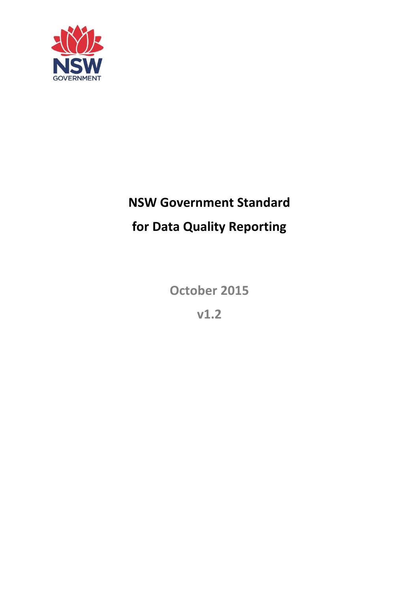

# **NSW Government Standard**

# **for Data Quality Reporting**

**October 2015**

**v1.2**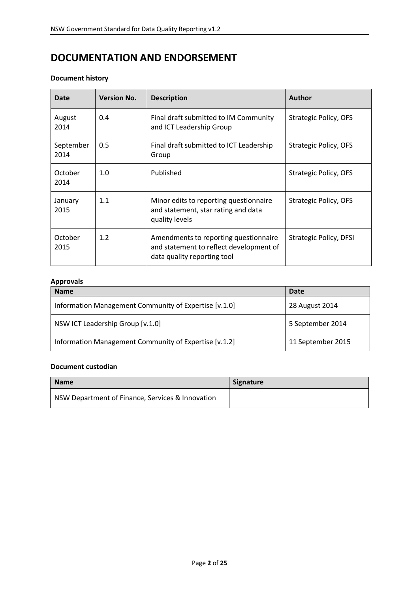### **DOCUMENTATION AND ENDORSEMENT**

#### **Document history**

| <b>Date</b>       | <b>Version No.</b> | <b>Description</b>                                                                                              | <b>Author</b>          |
|-------------------|--------------------|-----------------------------------------------------------------------------------------------------------------|------------------------|
| August<br>2014    | 0.4                | Final draft submitted to IM Community<br>and ICT Leadership Group                                               | Strategic Policy, OFS  |
| September<br>2014 | 0.5                | Final draft submitted to ICT Leadership<br>Group                                                                | Strategic Policy, OFS  |
| October<br>2014   | 1.0                | Published                                                                                                       | Strategic Policy, OFS  |
| January<br>2015   | 1.1                | Minor edits to reporting questionnaire<br>and statement, star rating and data<br>quality levels                 | Strategic Policy, OFS  |
| October<br>2015   | 1.2                | Amendments to reporting questionnaire<br>and statement to reflect development of<br>data quality reporting tool | Strategic Policy, DFSI |

#### **Approvals**

| <b>Name</b>                                           | Date              |
|-------------------------------------------------------|-------------------|
| Information Management Community of Expertise [v.1.0] | 28 August 2014    |
| NSW ICT Leadership Group [v.1.0]                      | 5 September 2014  |
| Information Management Community of Expertise [v.1.2] | 11 September 2015 |

#### **Document custodian**

| <b>Name</b>                                      | <b>Signature</b> |
|--------------------------------------------------|------------------|
| NSW Department of Finance, Services & Innovation |                  |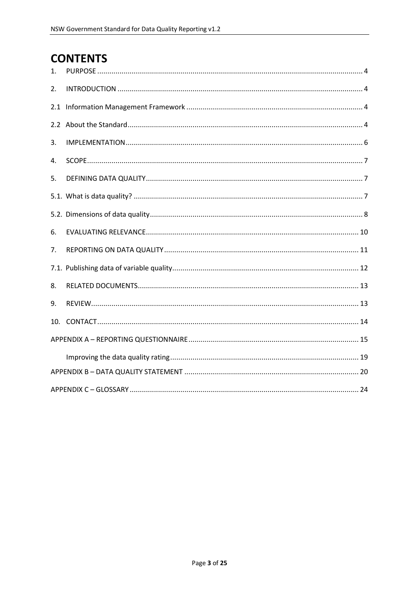# **CONTENTS**

| 1.  |  |
|-----|--|
| 2.  |  |
| 2.1 |  |
|     |  |
| 3.  |  |
| 4.  |  |
| 5.  |  |
|     |  |
|     |  |
| 6.  |  |
| 7.  |  |
|     |  |
| 8.  |  |
| 9.  |  |
|     |  |
|     |  |
|     |  |
|     |  |
|     |  |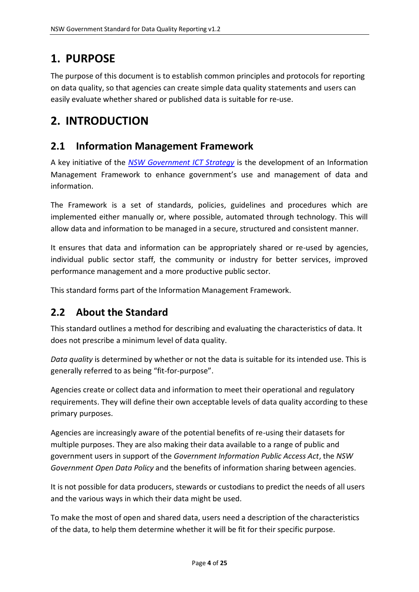# <span id="page-3-0"></span>**1. PURPOSE**

The purpose of this document is to establish common principles and protocols for reporting on data quality, so that agencies can create simple data quality statements and users can easily evaluate whether shared or published data is suitable for re-use.

# <span id="page-3-1"></span>**2. INTRODUCTION**

### <span id="page-3-2"></span>**2.1 Information Management Framework**

A key initiative of the *[NSW Government ICT Strategy](http://www.finance.nsw.gov.au/ict/)* is the development of an Information Management Framework to enhance government's use and management of data and information.

The Framework is a set of standards, policies, guidelines and procedures which are implemented either manually or, where possible, automated through technology. This will allow data and information to be managed in a secure, structured and consistent manner.

It ensures that data and information can be appropriately shared or re-used by agencies, individual public sector staff, the community or industry for better services, improved performance management and a more productive public sector.

This standard forms part of the Information Management Framework.

### <span id="page-3-3"></span>**2.2 About the Standard**

This standard outlines a method for describing and evaluating the characteristics of data. It does not prescribe a minimum level of data quality.

*Data quality* is determined by whether or not the data is suitable for its intended use. This is generally referred to as being "fit-for-purpose".

Agencies create or collect data and information to meet their operational and regulatory requirements. They will define their own acceptable levels of data quality according to these primary purposes.

Agencies are increasingly aware of the potential benefits of re-using their datasets for multiple purposes. They are also making their data available to a range of public and government users in support of the *Government Information Public Access Act*, the *NSW Government Open Data Policy* and the benefits of information sharing between agencies.

It is not possible for data producers, stewards or custodians to predict the needs of all users and the various ways in which their data might be used.

To make the most of open and shared data, users need a description of the characteristics of the data, to help them determine whether it will be fit for their specific purpose.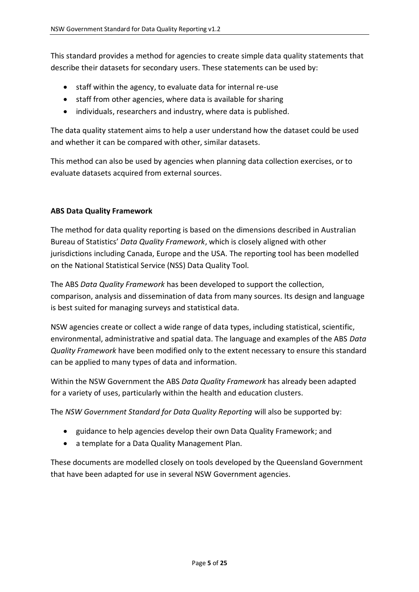This standard provides a method for agencies to create simple data quality statements that describe their datasets for secondary users. These statements can be used by:

- staff within the agency, to evaluate data for internal re-use
- staff from other agencies, where data is available for sharing
- individuals, researchers and industry, where data is published.

The data quality statement aims to help a user understand how the dataset could be used and whether it can be compared with other, similar datasets.

This method can also be used by agencies when planning data collection exercises, or to evaluate datasets acquired from external sources.

#### **ABS Data Quality Framework**

The method for data quality reporting is based on the dimensions described in Australian Bureau of Statistics' *Data Quality Framework*, which is closely aligned with other jurisdictions including Canada, Europe and the USA. The reporting tool has been modelled on the National Statistical Service (NSS) Data Quality Tool.

The ABS *Data Quality Framework* has been developed to support the collection, comparison, analysis and dissemination of data from many sources. Its design and language is best suited for managing surveys and statistical data.

NSW agencies create or collect a wide range of data types, including statistical, scientific, environmental, administrative and spatial data. The language and examples of the ABS *Data Quality Framework* have been modified only to the extent necessary to ensure this standard can be applied to many types of data and information.

Within the NSW Government the ABS *Data Quality Framework* has already been adapted for a variety of uses, particularly within the health and education clusters.

The *NSW Government Standard for Data Quality Reporting* will also be supported by:

- guidance to help agencies develop their own Data Quality Framework; and
- a template for a Data Quality Management Plan.

These documents are modelled closely on tools developed by the Queensland Government that have been adapted for use in several NSW Government agencies.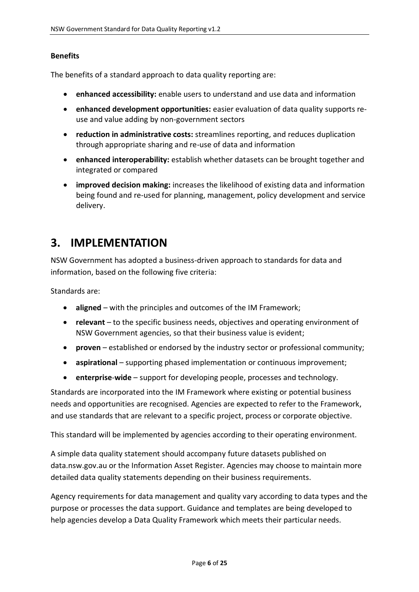#### **Benefits**

The benefits of a standard approach to data quality reporting are:

- **enhanced accessibility:** enable users to understand and use data and information
- **enhanced development opportunities:** easier evaluation of data quality supports reuse and value adding by non-government sectors
- **reduction in administrative costs:** streamlines reporting, and reduces duplication through appropriate sharing and re-use of data and information
- **enhanced interoperability:** establish whether datasets can be brought together and integrated or compared
- **improved decision making:** increases the likelihood of existing data and information being found and re-used for planning, management, policy development and service delivery.

### <span id="page-5-0"></span>**3. IMPLEMENTATION**

NSW Government has adopted a business-driven approach to standards for data and information, based on the following five criteria:

Standards are:

- **aligned** with the principles and outcomes of the IM Framework;
- **relevant** to the specific business needs, objectives and operating environment of NSW Government agencies, so that their business value is evident;
- **proven** established or endorsed by the industry sector or professional community;
- **aspirational** supporting phased implementation or continuous improvement;
- **enterprise**-**wide** support for developing people, processes and technology.

Standards are incorporated into the IM Framework where existing or potential business needs and opportunities are recognised. Agencies are expected to refer to the Framework, and use standards that are relevant to a specific project, process or corporate objective.

This standard will be implemented by agencies according to their operating environment.

A simple data quality statement should accompany future datasets published on data.nsw.gov.au or the Information Asset Register. Agencies may choose to maintain more detailed data quality statements depending on their business requirements.

Agency requirements for data management and quality vary according to data types and the purpose or processes the data support. Guidance and templates are being developed to help agencies develop a Data Quality Framework which meets their particular needs.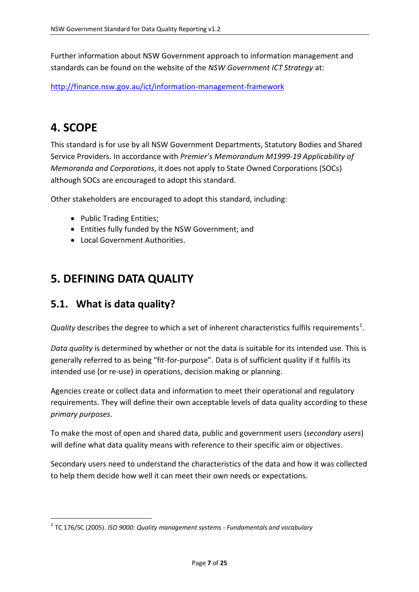Further information about NSW Government approach to information management and standards can be found on the website of the *NSW Government ICT Strategy* at:

<http://finance.nsw.gov.au/ict/information-management-framework>

# <span id="page-6-0"></span>**4. SCOPE**

-

This standard is for use by all NSW Government Departments, Statutory Bodies and Shared Service Providers. In accordance with *Premier's Memorandum M1999-19 Applicability of Memoranda and Corporations*, it does not apply to State Owned Corporations (SOCs) although SOCs are encouraged to adopt this standard.

Other stakeholders are encouraged to adopt this standard, including:

- Public Trading Entities;
- Entities fully funded by the NSW Government; and
- Local Government Authorities.

## <span id="page-6-1"></span>**5. DEFINING DATA QUALITY**

### <span id="page-6-2"></span>**5.1. What is data quality?**

*Quality* describes the degree to which a set of inherent characteristics fulfils requirements<sup>1</sup>.

*Data quality* is determined by whether or not the data is suitable for its intended use. This is generally referred to as being "fit-for-purpose". Data is of sufficient quality if it fulfils its intended use (or re-use) in operations, decision making or planning.

Agencies create or collect data and information to meet their operational and regulatory requirements. They will define their own acceptable levels of data quality according to these *primary purposes*.

To make the most of open and shared data, public and government users (*secondary users*) will define what data quality means with reference to their specific aim or objectives.

Secondary users need to understand the characteristics of the data and how it was collected to help them decide how well it can meet their own needs or expectations.

<sup>1</sup> TC 176/SC (2005). *ISO 9000: Quality management systems - Fundamentals and vocabulary*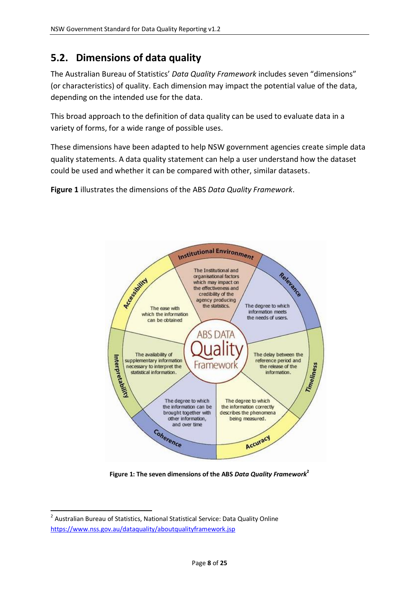### <span id="page-7-0"></span>**5.2. Dimensions of data quality**

The Australian Bureau of Statistics' *Data Quality Framework* includes seven "dimensions" (or characteristics) of quality. Each dimension may impact the potential value of the data, depending on the intended use for the data.

This broad approach to the definition of data quality can be used to evaluate data in a variety of forms, for a wide range of possible uses.

These dimensions have been adapted to help NSW government agencies create simple data quality statements. A data quality statement can help a user understand how the dataset could be used and whether it can be compared with other, similar datasets.

**Figure 1** illustrates the dimensions of the ABS *Data Quality Framework*.



**Figure 1: The seven dimensions of the ABS** *Data Quality Framework***<sup>2</sup>**

**.** 

<sup>&</sup>lt;sup>2</sup> Australian Bureau of Statistics, National Statistical Service: Data Quality Online <https://www.nss.gov.au/dataquality/aboutqualityframework.jsp>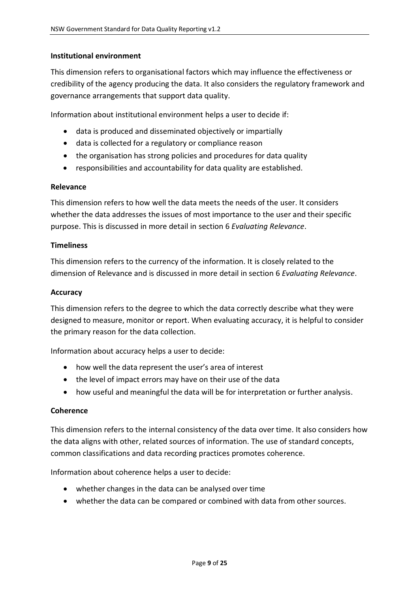#### **Institutional environment**

This dimension refers to organisational factors which may influence the effectiveness or credibility of the agency producing the data. It also considers the regulatory framework and governance arrangements that support data quality.

Information about institutional environment helps a user to decide if:

- data is produced and disseminated objectively or impartially
- data is collected for a regulatory or compliance reason
- the organisation has strong policies and procedures for data quality
- responsibilities and accountability for data quality are established.

#### **Relevance**

This dimension refers to how well the data meets the needs of the user. It considers whether the data addresses the issues of most importance to the user and their specific purpose. This is discussed in more detail in section 6 *Evaluating Relevance*.

#### **Timeliness**

This dimension refers to the currency of the information. It is closely related to the dimension of Relevance and is discussed in more detail in section 6 *Evaluating Relevance*.

#### **Accuracy**

This dimension refers to the degree to which the data correctly describe what they were designed to measure, monitor or report. When evaluating accuracy, it is helpful to consider the primary reason for the data collection.

Information about accuracy helps a user to decide:

- how well the data represent the user's area of interest
- the level of impact errors may have on their use of the data
- how useful and meaningful the data will be for interpretation or further analysis.

#### **Coherence**

This dimension refers to the internal consistency of the data over time. It also considers how the data aligns with other, related sources of information. The use of standard concepts, common classifications and data recording practices promotes coherence.

Information about coherence helps a user to decide:

- whether changes in the data can be analysed over time
- whether the data can be compared or combined with data from other sources.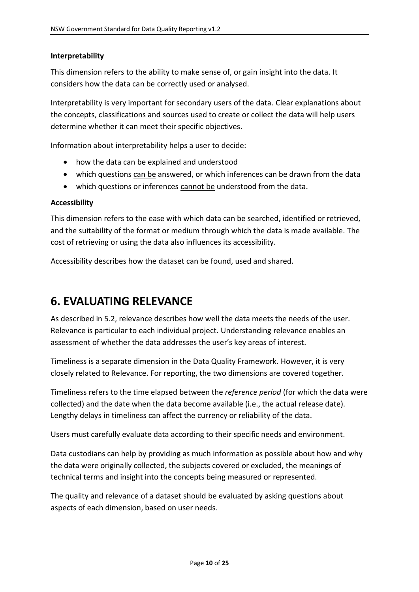#### **Interpretability**

This dimension refers to the ability to make sense of, or gain insight into the data. It considers how the data can be correctly used or analysed.

Interpretability is very important for secondary users of the data. Clear explanations about the concepts, classifications and sources used to create or collect the data will help users determine whether it can meet their specific objectives.

Information about interpretability helps a user to decide:

- how the data can be explained and understood
- which questions can be answered, or which inferences can be drawn from the data
- which questions or inferences cannot be understood from the data.

#### **Accessibility**

This dimension refers to the ease with which data can be searched, identified or retrieved, and the suitability of the format or medium through which the data is made available. The cost of retrieving or using the data also influences its accessibility.

Accessibility describes how the dataset can be found, used and shared.

### <span id="page-9-0"></span>**6. EVALUATING RELEVANCE**

As described in 5.2, relevance describes how well the data meets the needs of the user. Relevance is particular to each individual project. Understanding relevance enables an assessment of whether the data addresses the user's key areas of interest.

Timeliness is a separate dimension in the Data Quality Framework. However, it is very closely related to Relevance. For reporting, the two dimensions are covered together.

Timeliness refers to the time elapsed between the *reference period* (for which the data were collected) and the date when the data become available (i.e., the actual release date). Lengthy delays in timeliness can affect the currency or reliability of the data.

Users must carefully evaluate data according to their specific needs and environment.

Data custodians can help by providing as much information as possible about how and why the data were originally collected, the subjects covered or excluded, the meanings of technical terms and insight into the concepts being measured or represented.

The quality and relevance of a dataset should be evaluated by asking questions about aspects of each dimension, based on user needs.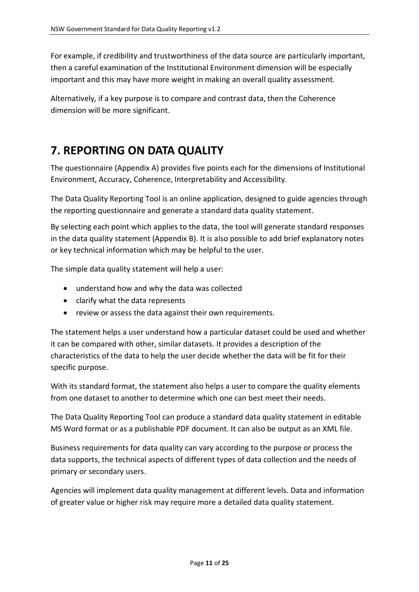For example, if credibility and trustworthiness of the data source are particularly important, then a careful examination of the Institutional Environment dimension will be especially important and this may have more weight in making an overall quality assessment.

Alternatively, if a key purpose is to compare and contrast data, then the Coherence dimension will be more significant.

# <span id="page-10-0"></span>**7. REPORTING ON DATA QUALITY**

The questionnaire (Appendix A) provides five points each for the dimensions of Institutional Environment, Accuracy, Coherence, Interpretability and Accessibility.

The Data Quality Reporting Tool is an online application, designed to guide agencies through the reporting questionnaire and generate a standard data quality statement.

By selecting each point which applies to the data, the tool will generate standard responses in the data quality statement (Appendix B). It is also possible to add brief explanatory notes or key technical information which may be helpful to the user.

The simple data quality statement will help a user:

- understand how and why the data was collected
- clarify what the data represents
- review or assess the data against their own requirements.

The statement helps a user understand how a particular dataset could be used and whether it can be compared with other, similar datasets. It provides a description of the characteristics of the data to help the user decide whether the data will be fit for their specific purpose.

With its standard format, the statement also helps a user to compare the quality elements from one dataset to another to determine which one can best meet their needs.

The Data Quality Reporting Tool can produce a standard data quality statement in editable MS Word format or as a publishable PDF document. It can also be output as an XML file.

Business requirements for data quality can vary according to the purpose or process the data supports, the technical aspects of different types of data collection and the needs of primary or secondary users.

Agencies will implement data quality management at different levels. Data and information of greater value or higher risk may require more a detailed data quality statement.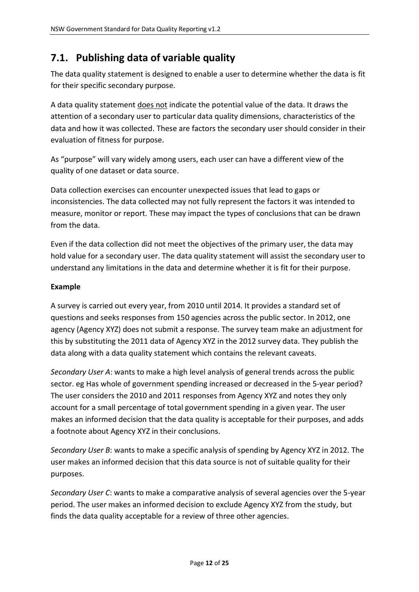### <span id="page-11-0"></span>**7.1. Publishing data of variable quality**

The data quality statement is designed to enable a user to determine whether the data is fit for their specific secondary purpose.

A data quality statement does not indicate the potential value of the data. It draws the attention of a secondary user to particular data quality dimensions, characteristics of the data and how it was collected. These are factors the secondary user should consider in their evaluation of fitness for purpose.

As "purpose" will vary widely among users, each user can have a different view of the quality of one dataset or data source.

Data collection exercises can encounter unexpected issues that lead to gaps or inconsistencies. The data collected may not fully represent the factors it was intended to measure, monitor or report. These may impact the types of conclusions that can be drawn from the data.

Even if the data collection did not meet the objectives of the primary user, the data may hold value for a secondary user. The data quality statement will assist the secondary user to understand any limitations in the data and determine whether it is fit for their purpose.

#### **Example**

A survey is carried out every year, from 2010 until 2014. It provides a standard set of questions and seeks responses from 150 agencies across the public sector. In 2012, one agency (Agency XYZ) does not submit a response. The survey team make an adjustment for this by substituting the 2011 data of Agency XYZ in the 2012 survey data. They publish the data along with a data quality statement which contains the relevant caveats.

*Secondary User A*: wants to make a high level analysis of general trends across the public sector. eg Has whole of government spending increased or decreased in the 5-year period? The user considers the 2010 and 2011 responses from Agency XYZ and notes they only account for a small percentage of total government spending in a given year. The user makes an informed decision that the data quality is acceptable for their purposes, and adds a footnote about Agency XYZ in their conclusions.

*Secondary User B*: wants to make a specific analysis of spending by Agency XYZ in 2012. The user makes an informed decision that this data source is not of suitable quality for their purposes.

*Secondary User C*: wants to make a comparative analysis of several agencies over the 5-year period. The user makes an informed decision to exclude Agency XYZ from the study, but finds the data quality acceptable for a review of three other agencies.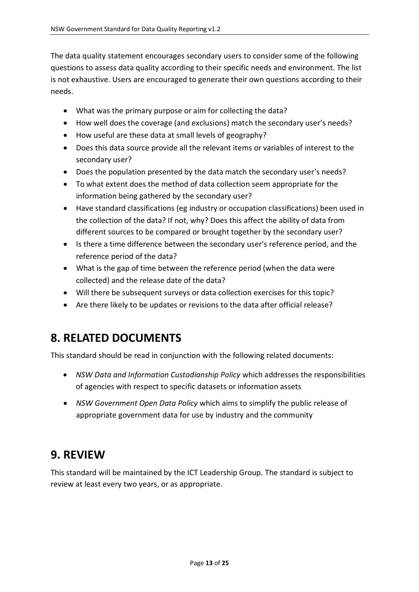The data quality statement encourages secondary users to consider some of the following questions to assess data quality according to their specific needs and environment. The list is not exhaustive. Users are encouraged to generate their own questions according to their needs.

- What was the primary purpose or aim for collecting the data?
- How well does the coverage (and exclusions) match the secondary user's needs?
- How useful are these data at small levels of geography?
- Does this data source provide all the relevant items or variables of interest to the secondary user?
- Does the population presented by the data match the secondary user's needs?
- To what extent does the method of data collection seem appropriate for the information being gathered by the secondary user?
- Have standard classifications (eg industry or occupation classifications) been used in the collection of the data? If not, why? Does this affect the ability of data from different sources to be compared or brought together by the secondary user?
- Is there a time difference between the secondary user's reference period, and the reference period of the data?
- What is the gap of time between the reference period (when the data were collected) and the release date of the data?
- Will there be subsequent surveys or data collection exercises for this topic?
- Are there likely to be updates or revisions to the data after official release?

## <span id="page-12-0"></span>**8. RELATED DOCUMENTS**

This standard should be read in conjunction with the following related documents:

- *NSW Data and Information Custodianship Policy* which addresses the responsibilities of agencies with respect to specific datasets or information assets
- *NSW Government Open Data Policy* which aims to simplify the public release of appropriate government data for use by industry and the community

## <span id="page-12-1"></span>**9. REVIEW**

This standard will be maintained by the ICT Leadership Group. The standard is subject to review at least every two years, or as appropriate.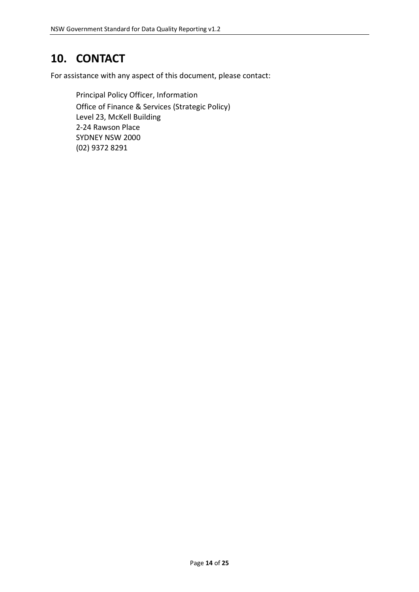# <span id="page-13-0"></span>**10. CONTACT**

For assistance with any aspect of this document, please contact:

Principal Policy Officer, Information Office of Finance & Services (Strategic Policy) Level 23, McKell Building 2-24 Rawson Place SYDNEY NSW 2000 (02) 9372 8291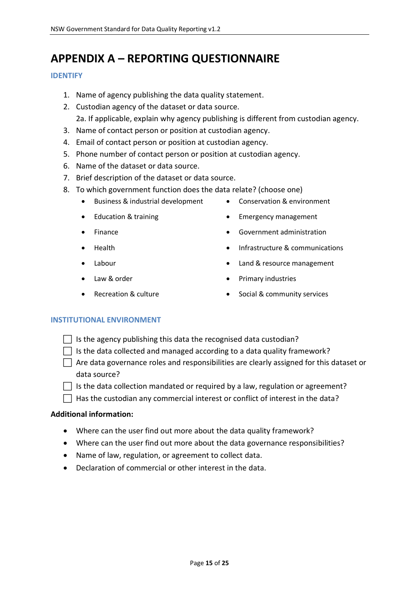# <span id="page-14-0"></span>**APPENDIX A – REPORTING QUESTIONNAIRE**

#### **IDENTIFY**

- 1. Name of agency publishing the data quality statement.
- 2. Custodian agency of the dataset or data source. 2a. If applicable, explain why agency publishing is different from custodian agency.
- 3. Name of contact person or position at custodian agency.
- 4. Email of contact person or position at custodian agency.
- 5. Phone number of contact person or position at custodian agency.
- 6. Name of the dataset or data source.
- 7. Brief description of the dataset or data source.
- 8. To which government function does the data relate? (choose one)
	- Business & industrial development Conservation & environment
	-
	-
	-
	-
	-
	-
- 
- Education & training **Example 20** Emergency management
- Finance **Government administration** 
	- Health **Infrastructure & communications**
	- Labour **Labour Contract Contract Contract Contract Contract Contract Contract Contract Contract Contract Contract Contract Contract Contract Contract Contract Contract Contract Contract Contract Contract Contract Contrac**
	- Law & order **Example 20** and  $\bullet$  Primary industries
		- Recreation & culture **Calculate Contract Contract Contract Contract Contract Contract Contract Contract Contract Contract Contract Contract Contract Contract Contract Contract Contract Contract Contract Contract Contract C**

#### **INSTITUTIONAL ENVIRONMENT**

- $\Box$  Is the agency publishing this data the recognised data custodian?
- $\Box$  Is the data collected and managed according to a data quality framework?
- $\Box$  Are data governance roles and responsibilities are clearly assigned for this dataset or data source?
- $\Box$  Is the data collection mandated or required by a law, regulation or agreement?
- $\Box$  Has the custodian any commercial interest or conflict of interest in the data?

#### **Additional information:**

- Where can the user find out more about the data quality framework?
- Where can the user find out more about the data governance responsibilities?
- Name of law, regulation, or agreement to collect data.
- Declaration of commercial or other interest in the data.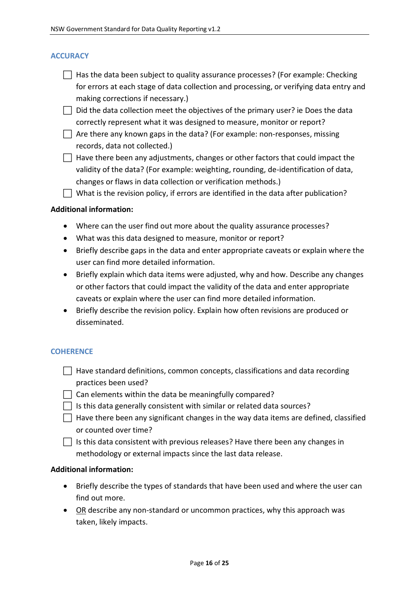#### **ACCURACY**

- $\Box$  Has the data been subject to quality assurance processes? (For example: Checking for errors at each stage of data collection and processing, or verifying data entry and making corrections if necessary.)
- $\Box$  Did the data collection meet the objectives of the primary user? ie Does the data correctly represent what it was designed to measure, monitor or report?
- $\Box$  Are there any known gaps in the data? (For example: non-responses, missing records, data not collected.)
- $\Box$  Have there been any adjustments, changes or other factors that could impact the validity of the data? (For example: weighting, rounding, de-identification of data, changes or flaws in data collection or verification methods.)
- $\Box$  What is the revision policy, if errors are identified in the data after publication?

#### **Additional information:**

- Where can the user find out more about the quality assurance processes?
- What was this data designed to measure, monitor or report?
- Briefly describe gaps in the data and enter appropriate caveats or explain where the user can find more detailed information.
- Briefly explain which data items were adjusted, why and how. Describe any changes or other factors that could impact the validity of the data and enter appropriate caveats or explain where the user can find more detailed information.
- Briefly describe the revision policy. Explain how often revisions are produced or disseminated.

#### **COHERENCE**

- $\Box$  Have standard definitions, common concepts, classifications and data recording practices been used?
- $\Box$  Can elements within the data be meaningfully compared?
- $\Box$  Is this data generally consistent with similar or related data sources?
- $\Box$  Have there been any significant changes in the way data items are defined, classified or counted over time?
- $\Box$  Is this data consistent with previous releases? Have there been any changes in methodology or external impacts since the last data release.

#### **Additional information:**

- Briefly describe the types of standards that have been used and where the user can find out more.
- OR describe any non-standard or uncommon practices, why this approach was taken, likely impacts.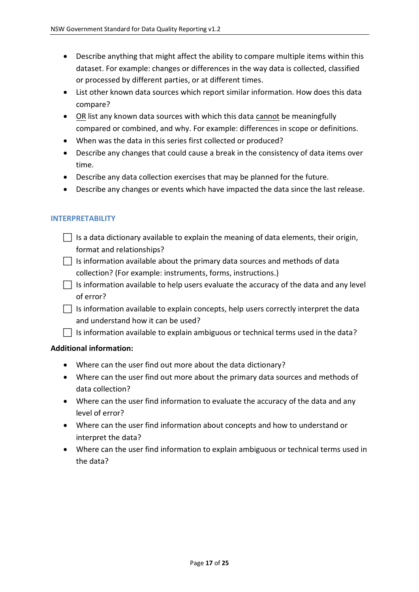- Describe anything that might affect the ability to compare multiple items within this dataset. For example: changes or differences in the way data is collected, classified or processed by different parties, or at different times.
- List other known data sources which report similar information. How does this data compare?
- OR list any known data sources with which this data cannot be meaningfully compared or combined, and why. For example: differences in scope or definitions.
- When was the data in this series first collected or produced?
- Describe any changes that could cause a break in the consistency of data items over time.
- Describe any data collection exercises that may be planned for the future.
- Describe any changes or events which have impacted the data since the last release.

#### **INTERPRETABILITY**

- $\Box$  Is a data dictionary available to explain the meaning of data elements, their origin, format and relationships?
- $\Box$  Is information available about the primary data sources and methods of data collection? (For example: instruments, forms, instructions.)
- $\vert \ \vert$  Is information available to help users evaluate the accuracy of the data and any level of error?
- $\Box$  Is information available to explain concepts, help users correctly interpret the data and understand how it can be used?

 $\vert \ \vert$  Is information available to explain ambiguous or technical terms used in the data?

#### **Additional information:**

- Where can the user find out more about the data dictionary?
- Where can the user find out more about the primary data sources and methods of data collection?
- Where can the user find information to evaluate the accuracy of the data and any level of error?
- Where can the user find information about concepts and how to understand or interpret the data?
- Where can the user find information to explain ambiguous or technical terms used in the data?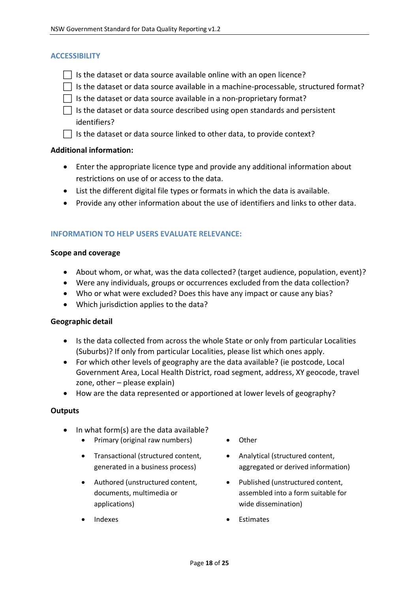#### **ACCESSIBILITY**

- $\Box$  Is the dataset or data source available online with an open licence?
- $\Box$  Is the dataset or data source available in a machine-processable, structured format?
- $\Box$  Is the dataset or data source available in a non-proprietary format?
- $\Box$  Is the dataset or data source described using open standards and persistent identifiers?
- $\Box$  Is the dataset or data source linked to other data, to provide context?

#### **Additional information:**

- Enter the appropriate licence type and provide any additional information about restrictions on use of or access to the data.
- List the different digital file types or formats in which the data is available.
- Provide any other information about the use of identifiers and links to other data.

#### **INFORMATION TO HELP USERS EVALUATE RELEVANCE:**

#### **Scope and coverage**

- About whom, or what, was the data collected? (target audience, population, event)?
- Were any individuals, groups or occurrences excluded from the data collection?
- Who or what were excluded? Does this have any impact or cause any bias?
- Which jurisdiction applies to the data?

#### **Geographic detail**

- Is the data collected from across the whole State or only from particular Localities (Suburbs)? If only from particular Localities, please list which ones apply.
- For which other levels of geography are the data available? (ie postcode, Local Government Area, Local Health District, road segment, address, XY geocode, travel zone, other – please explain)
- How are the data represented or apportioned at lower levels of geography?

#### **Outputs**

- $\bullet$  In what form(s) are the data available?
	- Primary (original raw numbers) Other
	- Transactional (structured content, generated in a business process)
	- Authored (unstructured content, documents, multimedia or applications)
	-
- 
- Analytical (structured content, aggregated or derived information)
- Published (unstructured content, assembled into a form suitable for wide dissemination)
- Indexes **Calculates Calculates Calculates Calculates Calculates Calculates Calculates**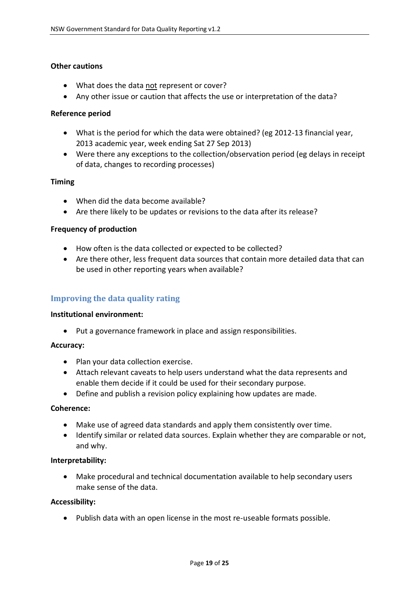#### **Other cautions**

- What does the data not represent or cover?
- Any other issue or caution that affects the use or interpretation of the data?

#### **Reference period**

- What is the period for which the data were obtained? (eg 2012-13 financial year, 2013 academic year, week ending Sat 27 Sep 2013)
- Were there any exceptions to the collection/observation period (eg delays in receipt of data, changes to recording processes)

#### **Timing**

- When did the data become available?
- Are there likely to be updates or revisions to the data after its release?

#### **Frequency of production**

- How often is the data collected or expected to be collected?
- Are there other, less frequent data sources that contain more detailed data that can be used in other reporting years when available?

#### <span id="page-18-0"></span>**Improving the data quality rating**

#### **Institutional environment:**

Put a governance framework in place and assign responsibilities.

#### **Accuracy:**

- Plan your data collection exercise.
- Attach relevant caveats to help users understand what the data represents and enable them decide if it could be used for their secondary purpose.
- Define and publish a revision policy explaining how updates are made.

#### **Coherence:**

- Make use of agreed data standards and apply them consistently over time.
- Identify similar or related data sources. Explain whether they are comparable or not, and why.

#### **Interpretability:**

 Make procedural and technical documentation available to help secondary users make sense of the data.

#### **Accessibility:**

Publish data with an open license in the most re-useable formats possible.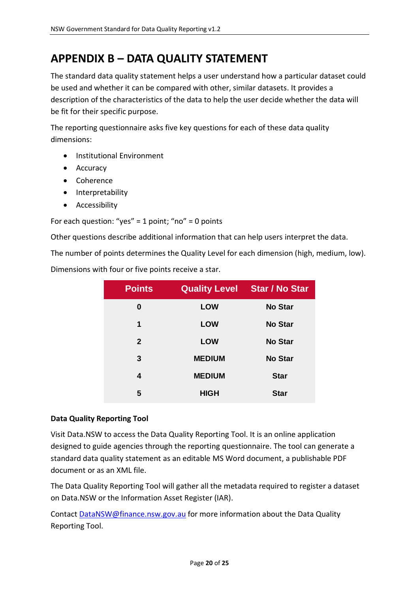# <span id="page-19-0"></span>**APPENDIX B – DATA QUALITY STATEMENT**

The standard data quality statement helps a user understand how a particular dataset could be used and whether it can be compared with other, similar datasets. It provides a description of the characteristics of the data to help the user decide whether the data will be fit for their specific purpose.

The reporting questionnaire asks five key questions for each of these data quality dimensions:

- Institutional Environment
- Accuracy
- Coherence
- Interpretability
- **•** Accessibility

For each question: "yes" = 1 point; "no" = 0 points

Other questions describe additional information that can help users interpret the data.

The number of points determines the Quality Level for each dimension (high, medium, low).

Dimensions with four or five points receive a star.

| <b>Points</b> | <b>Quality Level</b> | <b>Star / No Star</b> |
|---------------|----------------------|-----------------------|
| 0             | <b>LOW</b>           | <b>No Star</b>        |
| 1             | <b>LOW</b>           | <b>No Star</b>        |
| $\mathbf{2}$  | <b>LOW</b>           | <b>No Star</b>        |
| 3             | <b>MEDIUM</b>        | <b>No Star</b>        |
| 4             | <b>MEDIUM</b>        | <b>Star</b>           |
| 5             | <b>HIGH</b>          | <b>Star</b>           |

#### **Data Quality Reporting Tool**

Visit Data.NSW to access the Data Quality Reporting Tool. It is an online application designed to guide agencies through the reporting questionnaire. The tool can generate a standard data quality statement as an editable MS Word document, a publishable PDF document or as an XML file.

The Data Quality Reporting Tool will gather all the metadata required to register a dataset on Data.NSW or the Information Asset Register (IAR).

Contact [DataNSW@finance.nsw.gov.au](mailto:DataNSW@finance.nsw.gov.au) for more information about the Data Quality Reporting Tool.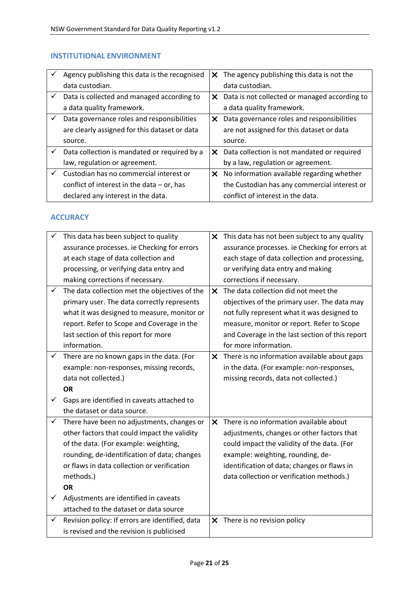#### **INSTITUTIONAL ENVIRONMENT**

|   | Agency publishing this data is the recognised | X. | The agency publishing this data is not the    |
|---|-----------------------------------------------|----|-----------------------------------------------|
|   | data custodian.                               |    | data custodian.                               |
| ✓ | Data is collected and managed according to    | X. | Data is not collected or managed according to |
|   | a data quality framework.                     |    | a data quality framework.                     |
|   | Data governance roles and responsibilities    | X. | Data governance roles and responsibilities    |
|   | are clearly assigned for this dataset or data |    | are not assigned for this dataset or data     |
|   | source.                                       |    | source.                                       |
| ✓ | Data collection is mandated or required by a  | X. | Data collection is not mandated or required   |
|   | law, regulation or agreement.                 |    | by a law, regulation or agreement.            |
|   | Custodian has no commercial interest or       | X. | No information available regarding whether    |
|   | conflict of interest in the data $-$ or, has  |    | the Custodian has any commercial interest or  |
|   | declared any interest in the data.            |    | conflict of interest in the data.             |

#### **ACCURACY**

|   | This data has been subject to quality           |              | X This data has not been subject to any quality |
|---|-------------------------------------------------|--------------|-------------------------------------------------|
|   | assurance processes. ie Checking for errors     |              | assurance processes. ie Checking for errors at  |
|   | at each stage of data collection and            |              | each stage of data collection and processing,   |
|   | processing, or verifying data entry and         |              | or verifying data entry and making              |
|   | making corrections if necessary.                |              | corrections if necessary.                       |
| ✓ | The data collection met the objectives of the   | $\mathsf{x}$ | The data collection did not meet the            |
|   | primary user. The data correctly represents     |              | objectives of the primary user. The data may    |
|   | what it was designed to measure, monitor or     |              | not fully represent what it was designed to     |
|   | report. Refer to Scope and Coverage in the      |              | measure, monitor or report. Refer to Scope      |
|   | last section of this report for more            |              | and Coverage in the last section of this report |
|   | information.                                    |              | for more information.                           |
| ✓ | There are no known gaps in the data. (For       |              | X There is no information available about gaps  |
|   | example: non-responses, missing records,        |              | in the data. (For example: non-responses,       |
|   | data not collected.)                            |              | missing records, data not collected.)           |
|   | <b>OR</b>                                       |              |                                                 |
|   | Gaps are identified in caveats attached to      |              |                                                 |
|   | the dataset or data source.                     |              |                                                 |
| ✓ | There have been no adjustments, changes or      | $\mathsf{x}$ | There is no information available about         |
|   | other factors that could impact the validity    |              | adjustments, changes or other factors that      |
|   | of the data. (For example: weighting,           |              | could impact the validity of the data. (For     |
|   | rounding, de-identification of data; changes    |              | example: weighting, rounding, de-               |
|   | or flaws in data collection or verification     |              | identification of data; changes or flaws in     |
|   | methods.)                                       |              | data collection or verification methods.)       |
|   | <b>OR</b>                                       |              |                                                 |
| ✓ | Adjustments are identified in caveats           |              |                                                 |
|   | attached to the dataset or data source          |              |                                                 |
| ✓ | Revision policy: If errors are identified, data |              | X There is no revision policy                   |
|   | is revised and the revision is publicised       |              |                                                 |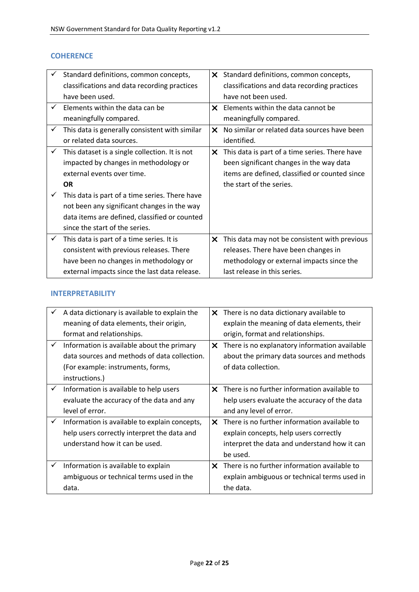#### **COHERENCE**

|   | Standard definitions, common concepts,         | X.           | Standard definitions, common concepts,         |
|---|------------------------------------------------|--------------|------------------------------------------------|
|   | classifications and data recording practices   |              | classifications and data recording practices   |
|   | have been used.                                |              | have not been used.                            |
|   | Flements within the data can be                |              | $\times$ Elements within the data cannot be    |
|   | meaningfully compared.                         |              | meaningfully compared.                         |
| ✓ | This data is generally consistent with similar | $\mathsf{x}$ | No similar or related data sources have been   |
|   | or related data sources.                       |              | identified.                                    |
|   | This dataset is a single collection. It is not | x            | This data is part of a time series. There have |
|   | impacted by changes in methodology or          |              | been significant changes in the way data       |
|   | external events over time.                     |              | items are defined, classified or counted since |
|   | <b>OR</b>                                      |              | the start of the series.                       |
|   | This data is part of a time series. There have |              |                                                |
|   | not been any significant changes in the way    |              |                                                |
|   | data items are defined, classified or counted  |              |                                                |
|   | since the start of the series.                 |              |                                                |
|   | This data is part of a time series. It is      | x            | This data may not be consistent with previous  |
|   | consistent with previous releases. There       |              | releases. There have been changes in           |
|   | have been no changes in methodology or         |              | methodology or external impacts since the      |
|   | external impacts since the last data release.  |              | last release in this series.                   |

#### **INTERPRETABILITY**

|              | A data dictionary is available to explain the |              | $\times$ There is no data dictionary available to |
|--------------|-----------------------------------------------|--------------|---------------------------------------------------|
|              | meaning of data elements, their origin,       |              | explain the meaning of data elements, their       |
|              | format and relationships.                     |              | origin, format and relationships.                 |
| ✓            | Information is available about the primary    | X.           | There is no explanatory information available     |
|              | data sources and methods of data collection.  |              | about the primary data sources and methods        |
|              | (For example: instruments, forms,             |              | of data collection.                               |
|              | instructions.)                                |              |                                                   |
| $\checkmark$ | Information is available to help users        | $\mathsf{x}$ | There is no further information available to      |
|              | evaluate the accuracy of the data and any     |              | help users evaluate the accuracy of the data      |
|              | level of error.                               |              | and any level of error.                           |
| ✓            | Information is available to explain concepts, | X.           | There is no further information available to      |
|              | help users correctly interpret the data and   |              | explain concepts, help users correctly            |
|              | understand how it can be used.                |              | interpret the data and understand how it can      |
|              |                                               |              | be used.                                          |
| ✓            | Information is available to explain           | X.           | There is no further information available to      |
|              | ambiguous or technical terms used in the      |              | explain ambiguous or technical terms used in      |
|              | data.                                         |              | the data.                                         |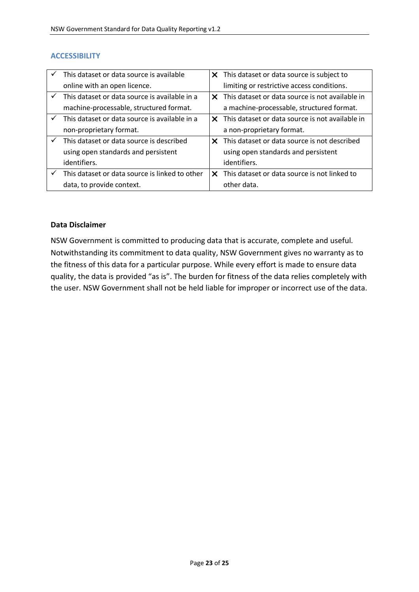#### **ACCESSIBILITY**

|              | This dataset or data source is available       |    | X This dataset or data source is subject to     |
|--------------|------------------------------------------------|----|-------------------------------------------------|
|              | online with an open licence.                   |    | limiting or restrictive access conditions.      |
| $\checkmark$ | This dataset or data source is available in a  | X. | This dataset or data source is not available in |
|              | machine-processable, structured format.        |    | a machine-processable, structured format.       |
| $\checkmark$ | This dataset or data source is available in a  | x  | This dataset or data source is not available in |
|              | non-proprietary format.                        |    | a non-proprietary format.                       |
|              | This dataset or data source is described       | x. | This dataset or data source is not described    |
|              | using open standards and persistent            |    | using open standards and persistent             |
|              | identifiers.                                   |    | identifiers.                                    |
|              | This dataset or data source is linked to other | ×  | This dataset or data source is not linked to    |
|              | data, to provide context.                      |    | other data.                                     |

#### **Data Disclaimer**

NSW Government is committed to producing data that is accurate, complete and useful. Notwithstanding its commitment to data quality, NSW Government gives no warranty as to the fitness of this data for a particular purpose. While every effort is made to ensure data quality, the data is provided "as is". The burden for fitness of the data relies completely with the user. NSW Government shall not be held liable for improper or incorrect use of the data.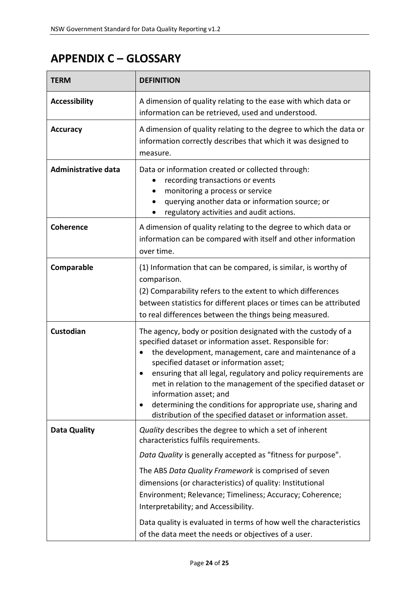# <span id="page-23-0"></span>**APPENDIX C – GLOSSARY**

| <b>TERM</b>                | <b>DEFINITION</b>                                                                                                                                                                                                                                                                                                                                                                                                                                                                                                          |
|----------------------------|----------------------------------------------------------------------------------------------------------------------------------------------------------------------------------------------------------------------------------------------------------------------------------------------------------------------------------------------------------------------------------------------------------------------------------------------------------------------------------------------------------------------------|
| <b>Accessibility</b>       | A dimension of quality relating to the ease with which data or<br>information can be retrieved, used and understood.                                                                                                                                                                                                                                                                                                                                                                                                       |
| <b>Accuracy</b>            | A dimension of quality relating to the degree to which the data or<br>information correctly describes that which it was designed to<br>measure.                                                                                                                                                                                                                                                                                                                                                                            |
| <b>Administrative data</b> | Data or information created or collected through:<br>recording transactions or events<br>monitoring a process or service<br>querying another data or information source; or<br>regulatory activities and audit actions.                                                                                                                                                                                                                                                                                                    |
| <b>Coherence</b>           | A dimension of quality relating to the degree to which data or<br>information can be compared with itself and other information<br>over time.                                                                                                                                                                                                                                                                                                                                                                              |
| Comparable                 | (1) Information that can be compared, is similar, is worthy of<br>comparison.<br>(2) Comparability refers to the extent to which differences<br>between statistics for different places or times can be attributed<br>to real differences between the things being measured.                                                                                                                                                                                                                                               |
| Custodian                  | The agency, body or position designated with the custody of a<br>specified dataset or information asset. Responsible for:<br>the development, management, care and maintenance of a<br>specified dataset or information asset;<br>ensuring that all legal, regulatory and policy requirements are<br>met in relation to the management of the specified dataset or<br>information asset; and<br>determining the conditions for appropriate use, sharing and<br>distribution of the specified dataset or information asset. |
| Data Quality               | Quality describes the degree to which a set of inherent<br>characteristics fulfils requirements.<br>Data Quality is generally accepted as "fitness for purpose".<br>The ABS Data Quality Framework is comprised of seven<br>dimensions (or characteristics) of quality: Institutional<br>Environment; Relevance; Timeliness; Accuracy; Coherence;<br>Interpretability; and Accessibility.<br>Data quality is evaluated in terms of how well the characteristics<br>of the data meet the needs or objectives of a user.     |